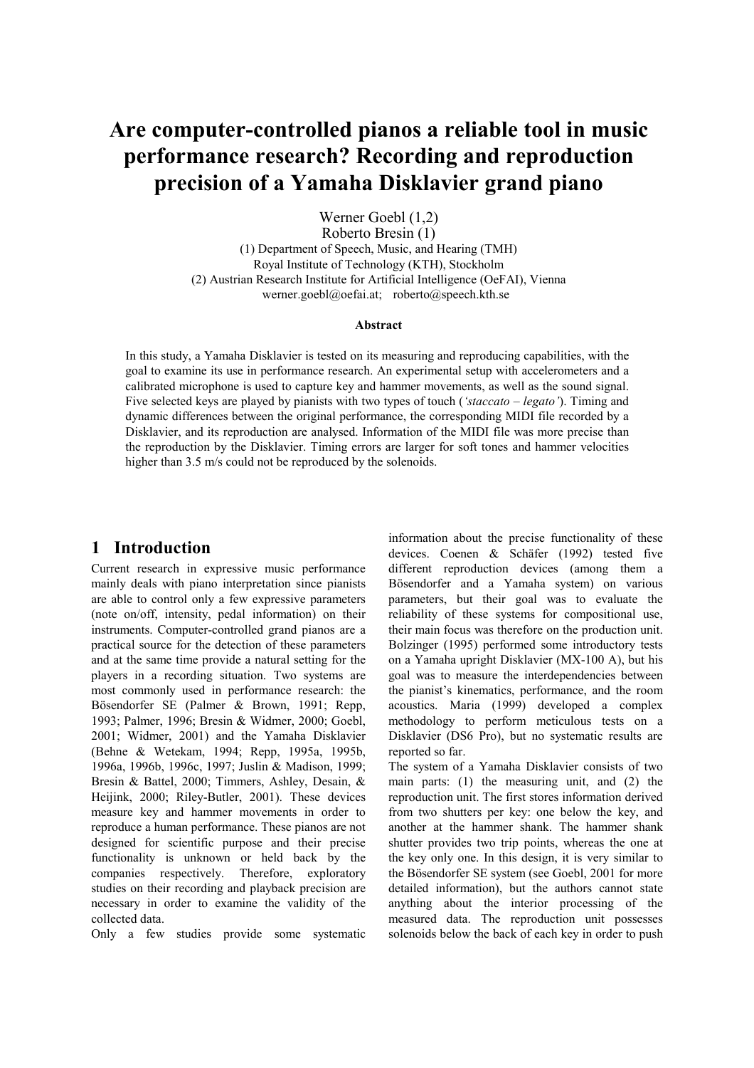# **Are computer-controlled pianos a reliable tool in music performance research? Recording and reproduction precision of a Yamaha Disklavier grand piano**

Werner Goebl (1,2)

Roberto Bresin (1) (1) Department of Speech, Music, and Hearing (TMH) Royal Institute of Technology (KTH), Stockholm (2) Austrian Research Institute for Artificial Intelligence (OeFAI), Vienna werner.goebl@oefai.at; roberto@speech.kth.se

#### **Abstract**

In this study, a Yamaha Disklavier is tested on its measuring and reproducing capabilities, with the goal to examine its use in performance research. An experimental setup with accelerometers and a calibrated microphone is used to capture key and hammer movements, as well as the sound signal. Five selected keys are played by pianists with two types of touch (*'staccato – legato'*). Timing and dynamic differences between the original performance, the corresponding MIDI file recorded by a Disklavier, and its reproduction are analysed. Information of the MIDI file was more precise than the reproduction by the Disklavier. Timing errors are larger for soft tones and hammer velocities higher than 3.5 m/s could not be reproduced by the solenoids.

## **1 Introduction**

Current research in expressive music performance mainly deals with piano interpretation since pianists are able to control only a few expressive parameters (note on/off, intensity, pedal information) on their instruments. Computer-controlled grand pianos are a practical source for the detection of these parameters and at the same time provide a natural setting for the players in a recording situation. Two systems are most commonly used in performance research: the Bösendorfer SE (Palmer & Brown, 1991; Repp, 1993; Palmer, 1996; Bresin & Widmer, 2000; Goebl, 2001; Widmer, 2001) and the Yamaha Disklavier (Behne & Wetekam, 1994; Repp, 1995a, 1995b, 1996a, 1996b, 1996c, 1997; Juslin & Madison, 1999; Bresin & Battel, 2000; Timmers, Ashley, Desain, & Heijink, 2000; Riley-Butler, 2001). These devices measure key and hammer movements in order to reproduce a human performance. These pianos are not designed for scientific purpose and their precise functionality is unknown or held back by the companies respectively. Therefore, exploratory studies on their recording and playback precision are necessary in order to examine the validity of the collected data.

Only a few studies provide some systematic

information about the precise functionality of these devices. Coenen & Schäfer (1992) tested five different reproduction devices (among them a Bösendorfer and a Yamaha system) on various parameters, but their goal was to evaluate the reliability of these systems for compositional use, their main focus was therefore on the production unit. Bolzinger (1995) performed some introductory tests on a Yamaha upright Disklavier (MX-100 A), but his goal was to measure the interdependencies between the pianist's kinematics, performance, and the room acoustics. Maria (1999) developed a complex methodology to perform meticulous tests on a Disklavier (DS6 Pro), but no systematic results are reported so far.

The system of a Yamaha Disklavier consists of two main parts: (1) the measuring unit, and (2) the reproduction unit. The first stores information derived from two shutters per key: one below the key, and another at the hammer shank. The hammer shank shutter provides two trip points, whereas the one at the key only one. In this design, it is very similar to the Bösendorfer SE system (see Goebl, 2001 for more detailed information), but the authors cannot state anything about the interior processing of the measured data. The reproduction unit possesses solenoids below the back of each key in order to push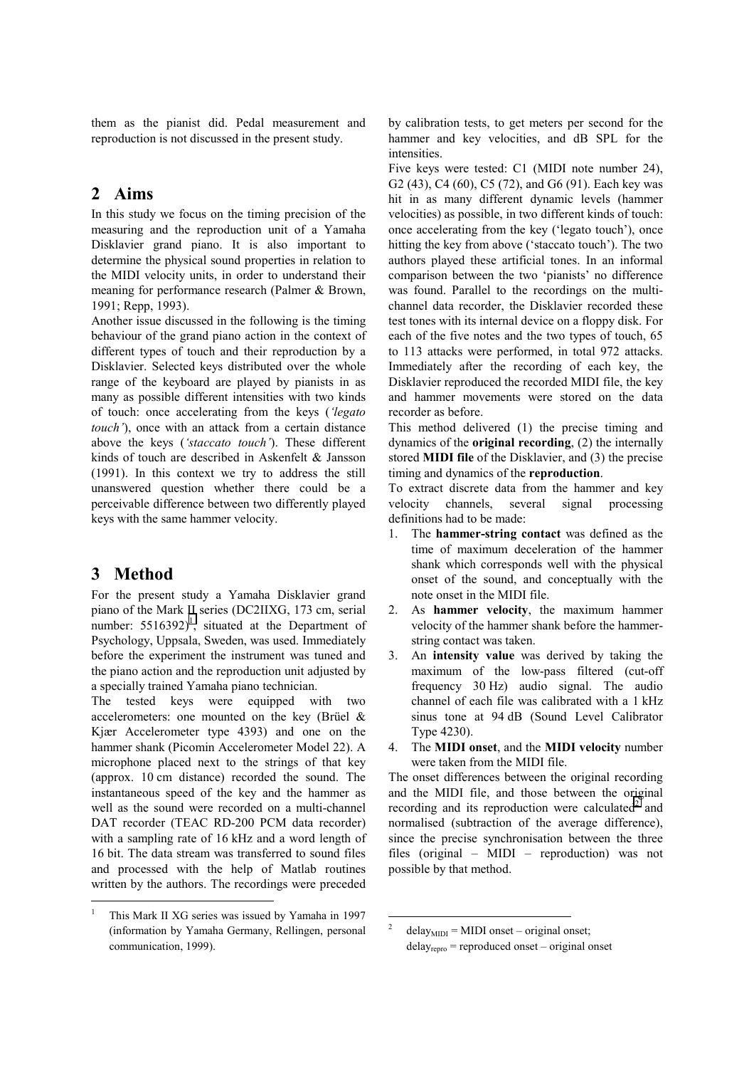them as the pianist did. Pedal measurement and reproduction is not discussed in the present study.

## **2 Aims**

In this study we focus on the timing precision of the measuring and the reproduction unit of a Yamaha Disklavier grand piano. It is also important to determine the physical sound properties in relation to the MIDI velocity units, in order to understand their meaning for performance research (Palmer & Brown, 1991; Repp, 1993).

Another issue discussed in the following is the timing behaviour of the grand piano action in the context of different types of touch and their reproduction by a Disklavier. Selected keys distributed over the whole range of the keyboard are played by pianists in as many as possible different intensities with two kinds of touch: once accelerating from the keys (*'legato touch'*), once with an attack from a certain distance above the keys (*'staccato touch'*). These different kinds of touch are described in Askenfelt & Jansson (1991). In this context we try to address the still unanswered question whether there could be a perceivable difference between two differently played keys with the same hammer velocity.

## **3 Method**

 $\overline{a}$ 

For the present study a Yamaha Disklavier grand piano of the Mark II series (DC2IIXG, 173 cm, serial number:  $5516392$ <sup>1</sup>, situated at the Department of Psychology, Uppsala, Sweden, was used. Immediately before the experiment the instrument was tuned and the piano action and the reproduction unit adjusted by a specially trained Yamaha piano technician.

The tested keys were equipped with two accelerometers: one mounted on the key (Brüel & Kjær Accelerometer type 4393) and one on the hammer shank (Picomin Accelerometer Model 22). A microphone placed next to the strings of that key (approx. 10 cm distance) recorded the sound. The instantaneous speed of the key and the hammer as well as the sound were recorded on a multi-channel DAT recorder (TEAC RD-200 PCM data recorder) with a sampling rate of 16 kHz and a word length of 16 bit. The data stream was transferred to sound files and processed with the help of Matlab routines written by the authors. The recordings were preceded

by calibration tests, to get meters per second for the hammer and key velocities, and dB SPL for the intensities.

Five keys were tested: C1 (MIDI note number 24), G2 (43), C4 (60), C5 (72), and G6 (91). Each key was hit in as many different dynamic levels (hammer velocities) as possible, in two different kinds of touch: once accelerating from the key ('legato touch'), once hitting the key from above ('staccato touch'). The two authors played these artificial tones. In an informal comparison between the two 'pianists' no difference was found. Parallel to the recordings on the multichannel data recorder, the Disklavier recorded these test tones with its internal device on a floppy disk. For each of the five notes and the two types of touch, 65 to 113 attacks were performed, in total 972 attacks. Immediately after the recording of each key, the Disklavier reproduced the recorded MIDI file, the key and hammer movements were stored on the data recorder as before.

This method delivered (1) the precise timing and dynamics of the **original recording**, (2) the internally stored **MIDI file** of the Disklavier, and (3) the precise timing and dynamics of the **reproduction**.

To extract discrete data from the hammer and key velocity channels, several signal processing definitions had to be made:

- 1. The **hammer-string contact** was defined as the time of maximum deceleration of the hammer shank which corresponds well with the physical onset of the sound, and conceptually with the note onset in the MIDI file.
- 2. As **hammer velocity**, the maximum hammer velocity of the hammer shank before the hammerstring contact was taken.
- 3. An **intensity value** was derived by taking the maximum of the low-pass filtered (cut-off frequency 30 Hz) audio signal. The audio channel of each file was calibrated with a 1 kHz sinus tone at 94 dB (Sound Level Calibrator Type 4230).
- 4. The **MIDI onset**, and the **MIDI velocity** number were taken from the MIDI file.

The onset differences between the original recording and the MIDI file, and those between the original recording and its reproduction were calculated $2$  and normalised (subtraction of the average difference), since the precise synchronisation between the three files (original – MIDI – reproduction) was not possible by that method.

<sup>1</sup> This Mark II XG series was issued by Yamaha in 1997 (information by Yamaha Germany, Rellingen, personal communication, 1999).

 $\overline{\phantom{a}}$  $delay_{MIDI} = MIDI$  onset – original onset;  $delay_{\text{rebro}}$  = reproduced onset – original onset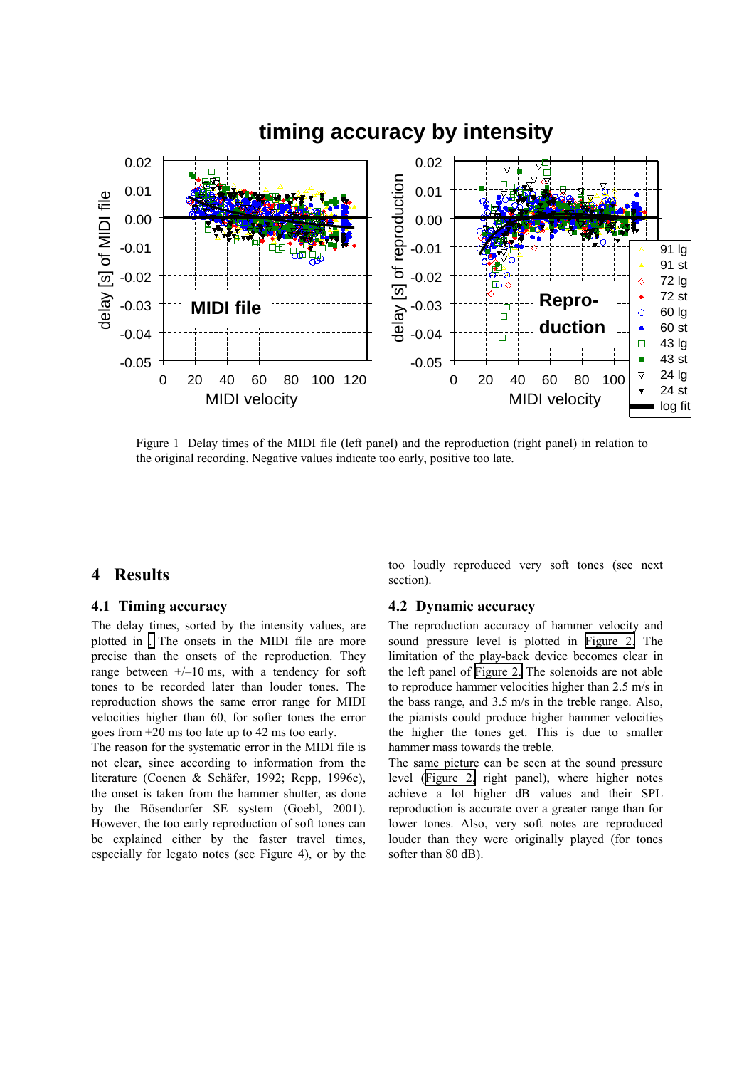<span id="page-2-0"></span>

Figure 1 Delay times of the MIDI file (left panel) and the reproduction (right panel) in relation to the original recording. Negative values indicate too early, positive too late.

### **4 Results**

### **4.1 Timing accuracy**

The delay times, sorted by the intensity values, are plotted in [.](#page-3-0) The onsets in the MIDI file are more precise than the onsets of the reproduction. They range between  $+/-10$  ms, with a tendency for soft tones to be recorded later than louder tones. The reproduction shows the same error range for MIDI velocities higher than 60, for softer tones the error goes from +20 ms too late up to 42 ms too early.

The reason for the systematic error in the MIDI file is not clear, since according to information from the literature (Coenen & Schäfer, 1992; Repp, 1996c), the onset is taken from the hammer shutter, as done by the Bösendorfer SE system (Goebl, 2001). However, the too early reproduction of soft tones can be explained either by the faster travel times, especially for legato notes (see Figure 4), or by the

too loudly reproduced very soft tones (see next section).

#### **4.2 Dynamic accuracy**

The reproduction accuracy of hammer velocity and sound pressure level is plotted in [Figure 2.](#page-3-0) The limitation of the play-back device becomes clear in the left panel of [Figure 2.](#page-3-0) The solenoids are not able to reproduce hammer velocities higher than 2.5 m/s in the bass range, and 3.5 m/s in the treble range. Also, the pianists could produce higher hammer velocities the higher the tones get. This is due to smaller hammer mass towards the treble.

The same picture can be seen at the sound pressure level ([Figure 2,](#page-3-0) right panel), where higher notes achieve a lot higher dB values and their SPL reproduction is accurate over a greater range than for lower tones. Also, very soft notes are reproduced louder than they were originally played (for tones softer than 80 dB).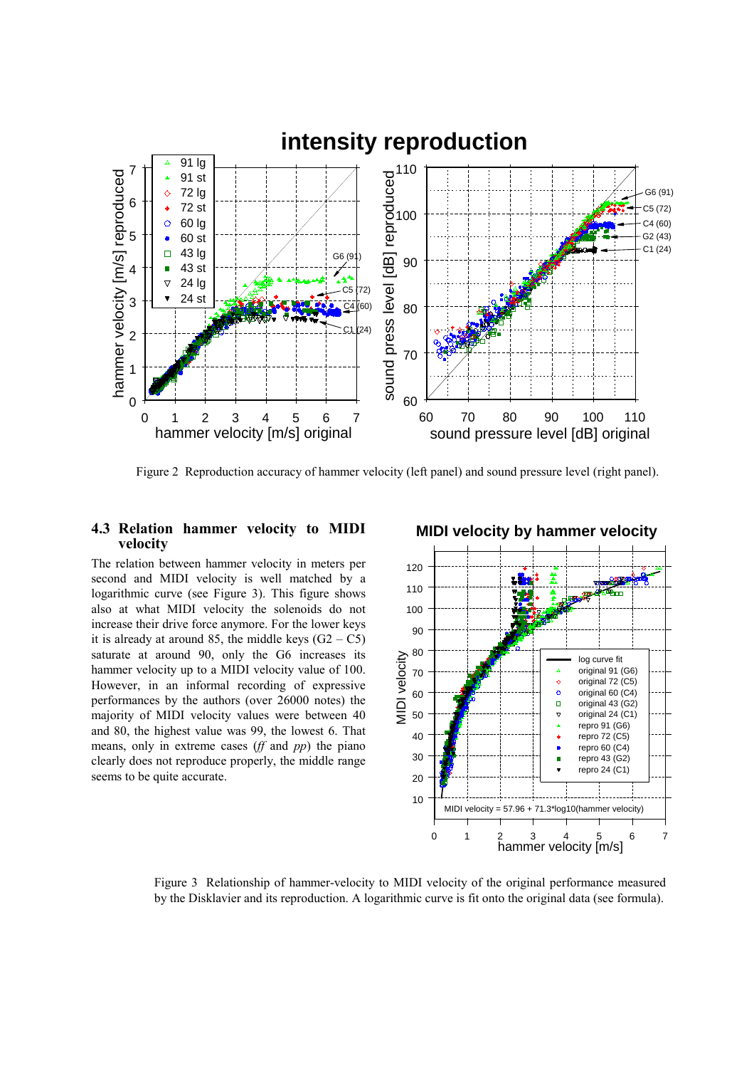<span id="page-3-0"></span>

Figure 2 Reproduction accuracy of hammer velocity (left panel) and sound pressure level (right panel).

#### **4.3 Relation hammer velocity to MIDI velocity**

The relation between hammer velocity in meters per second and MIDI velocity is well matched by a logarithmic curve (see Figure 3). This figure shows also at what MIDI velocity the solenoids do not increase their drive force anymore. For the lower keys it is already at around 85, the middle keys  $(G2 - C5)$ saturate at around 90, only the G6 increases its hammer velocity up to a MIDI velocity value of 100. However, in an informal recording of expressive performances by the authors (over 26000 notes) the majority of MIDI velocity values were between 40 and 80, the highest value was 99, the lowest 6. That means, only in extreme cases (*ff* and *pp*) the piano clearly does not reproduce properly, the middle range seems to be quite accurate.



Figure 3 Relationship of hammer-velocity to MIDI velocity of the original performance measured by the Disklavier and its reproduction. A logarithmic curve is fit onto the original data (see formula).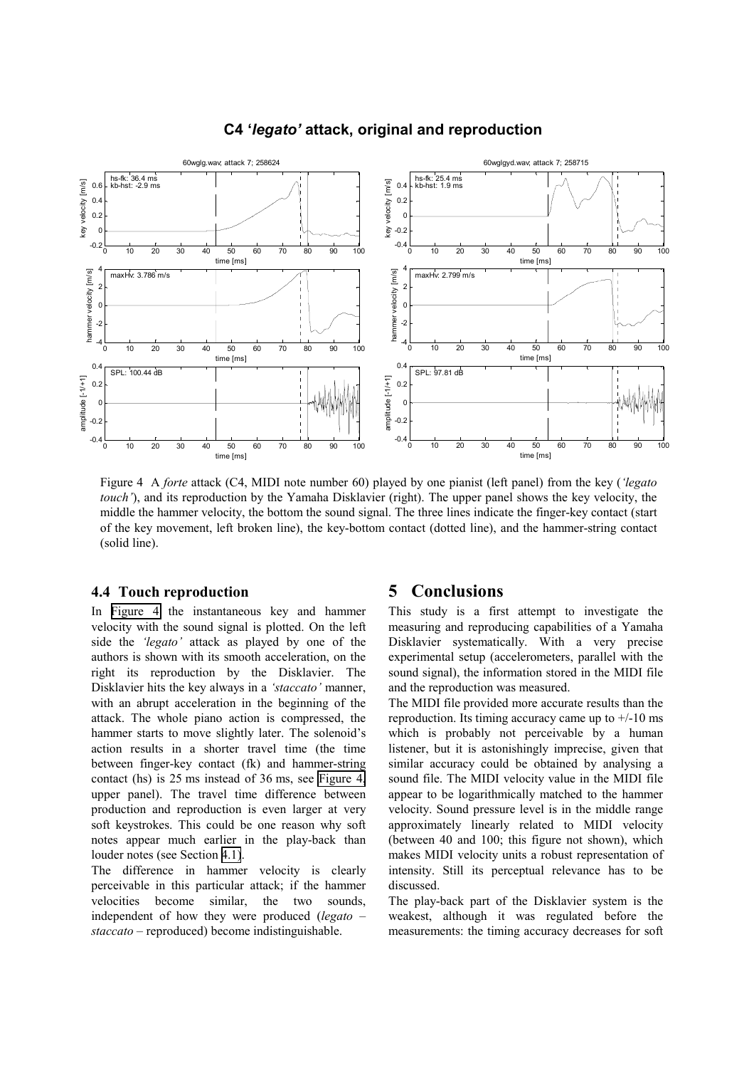

#### **C4 '***legato'* **attack, original and reproduction**

Figure 4 A *forte* attack (C4, MIDI note number 60) played by one pianist (left panel) from the key (*'legato touch'*), and its reproduction by the Yamaha Disklavier (right). The upper panel shows the key velocity, the middle the hammer velocity, the bottom the sound signal. The three lines indicate the finger-key contact (start of the key movement, left broken line), the key-bottom contact (dotted line), and the hammer-string contact (solid line).

#### **4.4 Touch reproduction**

In Figure 4 the instantaneous key and hammer velocity with the sound signal is plotted. On the left side the *'legato'* attack as played by one of the authors is shown with its smooth acceleration, on the right its reproduction by the Disklavier. The Disklavier hits the key always in a *'staccato'* manner, with an abrupt acceleration in the beginning of the attack. The whole piano action is compressed, the hammer starts to move slightly later. The solenoid's action results in a shorter travel time (the time between finger-key contact (fk) and hammer-string contact (hs) is 25 ms instead of 36 ms, see Figure 4, upper panel). The travel time difference between production and reproduction is even larger at very soft keystrokes. This could be one reason why soft notes appear much earlier in the play-back than louder notes (see Section [4.1\)](#page-2-0).

The difference in hammer velocity is clearly perceivable in this particular attack; if the hammer velocities become similar, the two sounds, independent of how they were produced (*legato – staccato* – reproduced) become indistinguishable.

### **5 Conclusions**

This study is a first attempt to investigate the measuring and reproducing capabilities of a Yamaha Disklavier systematically. With a very precise experimental setup (accelerometers, parallel with the sound signal), the information stored in the MIDI file and the reproduction was measured.

The MIDI file provided more accurate results than the reproduction. Its timing accuracy came up to  $+/-10$  ms which is probably not perceivable by a human listener, but it is astonishingly imprecise, given that similar accuracy could be obtained by analysing a sound file. The MIDI velocity value in the MIDI file appear to be logarithmically matched to the hammer velocity. Sound pressure level is in the middle range approximately linearly related to MIDI velocity (between 40 and 100; this figure not shown), which makes MIDI velocity units a robust representation of intensity. Still its perceptual relevance has to be discussed.

The play-back part of the Disklavier system is the weakest, although it was regulated before the measurements: the timing accuracy decreases for soft